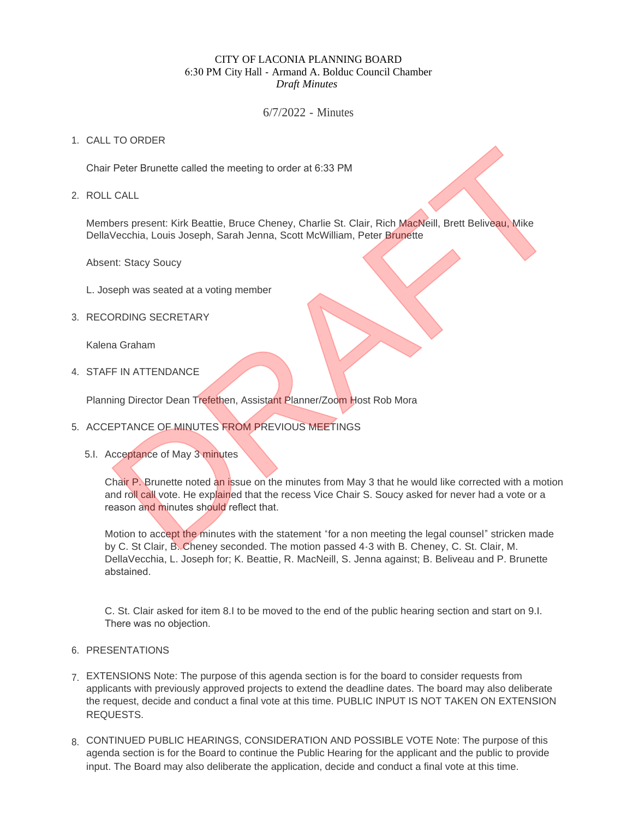# CITY OF LACONIA PLANNING BOARD 6:30 PM City Hall - Armand A. Bolduc Council Chamber *Draft Minutes*

6/7/2022 - Minutes

# 1. CALL TO ORDER

Chair Peter Brunette called the meeting to order at 6:33 PM

ROLL CALL 2.

Members present: Kirk Beattie, Bruce Cheney, Charlie St. Clair, Rich MacNeill, Brett Beliveau, Mike DellaVecchia, Louis Joseph, Sarah Jenna, Scott McWilliam, Peter Brunette

Absent: Stacy Soucy

- L. Joseph was seated at a voting member
- 3. RECORDING SECRETARY

Kalena Graham

4. STAFF IN ATTENDANCE

Planning Director Dean Trefethen, Assistant Planner/Zoom Host Rob Mora

- 5. ACCEPTANCE OF MINUTES FROM PREVIOUS MEETINGS
	- 5.I. Acceptance of May 3 minutes

Chair P. Brunette noted an issue on the minutes from May 3 that he would like corrected with a motion and roll call vote. He explained that the recess Vice Chair S. Soucy asked for never had a vote or a reason and minutes should reflect that. Peter Brunette called the meeting to order at 6:33 PM<br>
Detect Brunette called the meeting to order at 6:33 PM<br>
Detect Brunette Stream (State Brunette Stream Assistant Planner/Zoom Host Rob Marchelli, Brett Beliveau, Mike<br>

Motion to accept the minutes with the statement "for a non meeting the legal counsel" stricken made by C. St Clair, B. Cheney seconded. The motion passed 4-3 with B. Cheney, C. St. Clair, M. DellaVecchia, L. Joseph for; K. Beattie, R. MacNeill, S. Jenna against; B. Beliveau and P. Brunette abstained.

C. St. Clair asked for item 8.I to be moved to the end of the public hearing section and start on 9.I. There was no objection.

- 6. PRESENTATIONS
- EXTENSIONS Note: The purpose of this agenda section is for the board to consider requests from 7. applicants with previously approved projects to extend the deadline dates. The board may also deliberate the request, decide and conduct a final vote at this time. PUBLIC INPUT IS NOT TAKEN ON EXTENSION REQUESTS.
- 8. CONTINUED PUBLIC HEARINGS, CONSIDERATION AND POSSIBLE VOTE Note: The purpose of this agenda section is for the Board to continue the Public Hearing for the applicant and the public to provide input. The Board may also deliberate the application, decide and conduct a final vote at this time.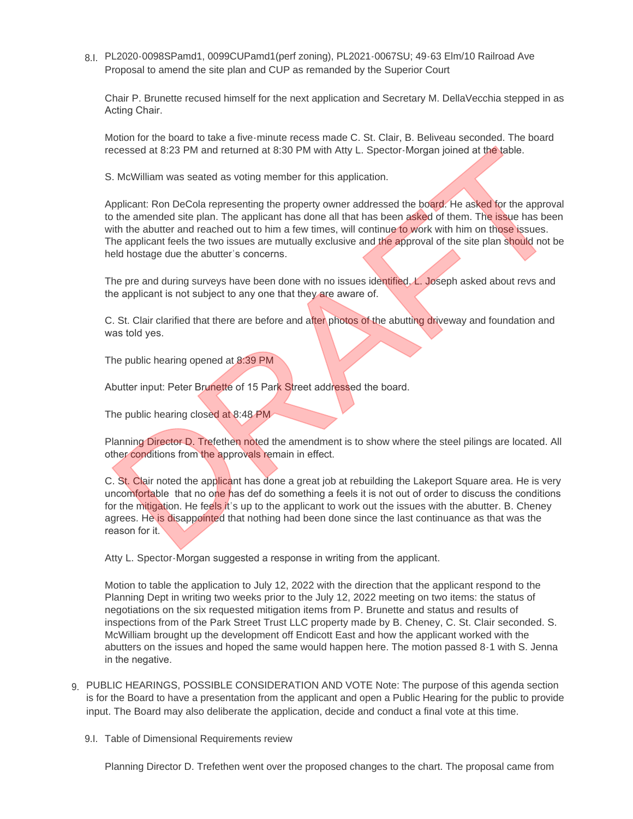PL2020-0098SPamd1, 0099CUPamd1(perf zoning), PL2021-0067SU; 49-63 Elm/10 Railroad Ave 8.I. Proposal to amend the site plan and CUP as remanded by the Superior Court

Chair P. Brunette recused himself for the next application and Secretary M. DellaVecchia stepped in as Acting Chair.

Motion for the board to take a five-minute recess made C. St. Clair, B. Beliveau seconded. The board recessed at 8:23 PM and returned at 8:30 PM with Atty L. Spector-Morgan joined at the table.

S. McWilliam was seated as voting member for this application.

Applicant: Ron DeCola representing the property owner addressed the board. He asked for the approval to the amended site plan. The applicant has done all that has been asked of them. The issue has been with the abutter and reached out to him a few times, will continue to work with him on those issues. The applicant feels the two issues are mutually exclusive and the approval of the site plan should not be held hostage due the abutter's concerns. cossed at 8:23 PM and returned at 8:30 PM with Atty L. Spector-Morgan joined at the table.<br>
S. McWilliam was seated as voting member for this application.<br>
S. McWilliam was seated as voting member for this application.<br>
Ap

The pre and during surveys have been done with no issues identified. L. Joseph asked about revs and the applicant is not subject to any one that they are aware of.

C. St. Clair clarified that there are before and after photos of the abutting driveway and foundation and was told yes.

The public hearing opened at 8:39 PM

Abutter input: Peter Brunette of 15 Park Street addressed the board.

The public hearing closed at 8:48 PM

Planning Director D. Trefethen noted the amendment is to show where the steel pilings are located. All other conditions from the approvals remain in effect.

C. St. Clair noted the applicant has done a great job at rebuilding the Lakeport Square area. He is very uncomfortable that no one has def do something a feels it is not out of order to discuss the conditions for the mitigation. He feels it's up to the applicant to work out the issues with the abutter. B. Cheney agrees. He is disappointed that nothing had been done since the last continuance as that was the reason for it.

Atty L. Spector-Morgan suggested a response in writing from the applicant.

Motion to table the application to July 12, 2022 with the direction that the applicant respond to the Planning Dept in writing two weeks prior to the July 12, 2022 meeting on two items: the status of negotiations on the six requested mitigation items from P. Brunette and status and results of inspections from of the Park Street Trust LLC property made by B. Cheney, C. St. Clair seconded. S. McWilliam brought up the development off Endicott East and how the applicant worked with the abutters on the issues and hoped the same would happen here. The motion passed 8-1 with S. Jenna in the negative.

- PUBLIC HEARINGS, POSSIBLE CONSIDERATION AND VOTE Note: The purpose of this agenda section 9. is for the Board to have a presentation from the applicant and open a Public Hearing for the public to provide input. The Board may also deliberate the application, decide and conduct a final vote at this time.
	- 9.I. Table of Dimensional Requirements review

Planning Director D. Trefethen went over the proposed changes to the chart. The proposal came from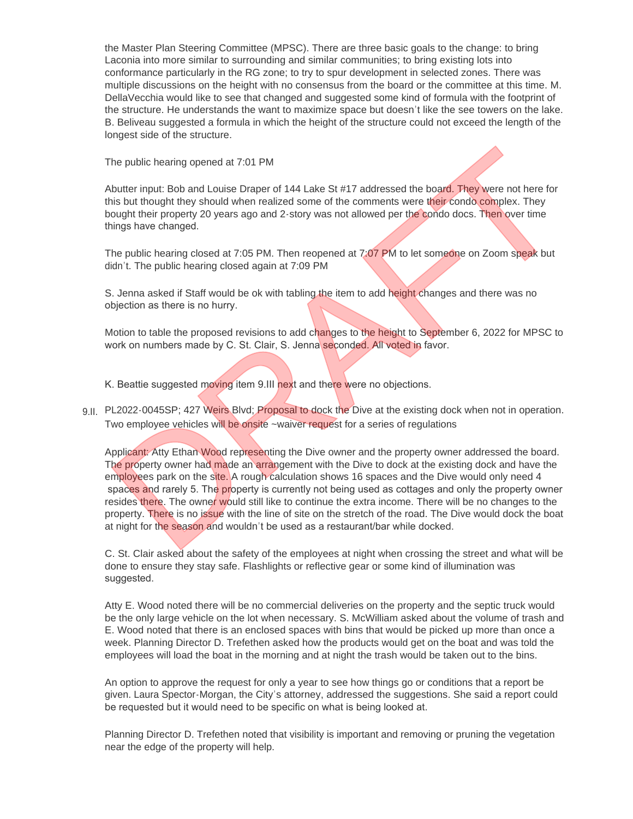the Master Plan Steering Committee (MPSC). There are three basic goals to the change: to bring Laconia into more similar to surrounding and similar communities; to bring existing lots into conformance particularly in the RG zone; to try to spur development in selected zones. There was multiple discussions on the height with no consensus from the board or the committee at this time. M. DellaVecchia would like to see that changed and suggested some kind of formula with the footprint of the structure. He understands the want to maximize space but doesn't like the see towers on the lake. B. Beliveau suggested a formula in which the height of the structure could not exceed the length of the longest side of the structure.

The public hearing opened at 7:01 PM

Abutter input: Bob and Louise Draper of 144 Lake St #17 addressed the board. They were not here for this but thought they should when realized some of the comments were their condo complex. They bought their property 20 years ago and 2-story was not allowed per the condo docs. Then over time things have changed.

The public hearing closed at 7:05 PM. Then reopened at 7:07 PM to let someone on Zoom speak but didn't. The public hearing closed again at 7:09 PM

S. Jenna asked if Staff would be ok with tabling the item to add height changes and there was no objection as there is no hurry.

Motion to table the proposed revisions to add changes to the height to September 6, 2022 for MPSC to work on numbers made by C. St. Clair, S. Jenna seconded. All voted in favor.

K. Beattie suggested moving item 9.III next and there were no objections.

9.II. PL2022-0045SP; 427 Weirs Blvd; Proposal to dock the Dive at the existing dock when not in operation. Two employee vehicles will be onsite ~waiver request for a series of regulations

Applicant: Atty Ethan Wood representing the Dive owner and the property owner addressed the board. The property owner had made an arrangement with the Dive to dock at the existing dock and have the employees park on the site. A rough calculation shows 16 spaces and the Dive would only need 4 spaces and rarely 5. The property is currently not being used as cottages and only the property owner resides there. The owner would still like to continue the extra income. There will be no changes to the property. There is no issue with the line of site on the stretch of the road. The Dive would dock the boat at night for the season and wouldn't be used as a restaurant/bar while docked. The public hearing opened at 7:01 PM<br>
Nother input: Bob and Louise Draper of 144 Lake St #17 addressed the board. They were not here for<br>
inits but thought they should when realized some of the comments were their condo co

C. St. Clair asked about the safety of the employees at night when crossing the street and what will be done to ensure they stay safe. Flashlights or reflective gear or some kind of illumination was suggested.

Atty E. Wood noted there will be no commercial deliveries on the property and the septic truck would be the only large vehicle on the lot when necessary. S. McWilliam asked about the volume of trash and E. Wood noted that there is an enclosed spaces with bins that would be picked up more than once a week. Planning Director D. Trefethen asked how the products would get on the boat and was told the employees will load the boat in the morning and at night the trash would be taken out to the bins.

An option to approve the request for only a year to see how things go or conditions that a report be given. Laura Spector-Morgan, the City's attorney, addressed the suggestions. She said a report could be requested but it would need to be specific on what is being looked at.

Planning Director D. Trefethen noted that visibility is important and removing or pruning the vegetation near the edge of the property will help.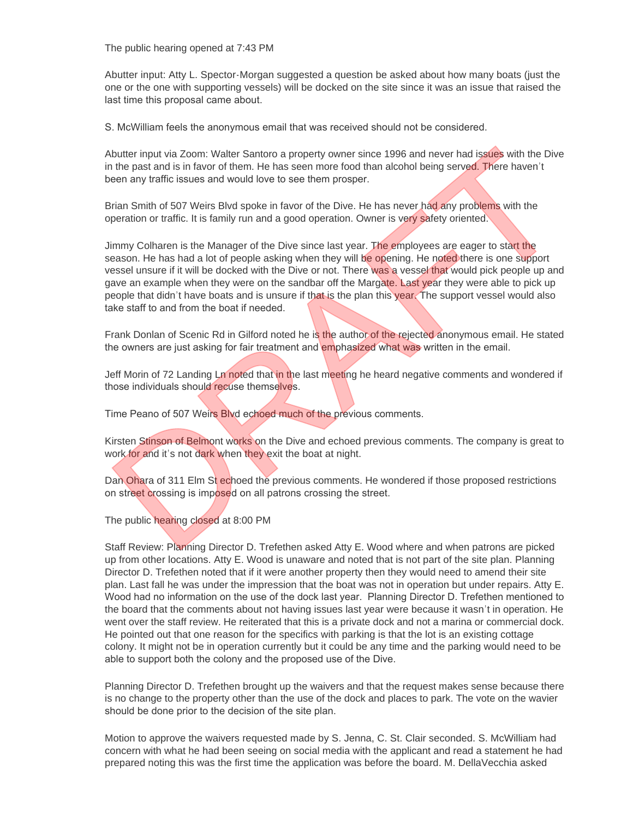The public hearing opened at 7:43 PM

Abutter input: Atty L. Spector-Morgan suggested a question be asked about how many boats (just the one or the one with supporting vessels) will be docked on the site since it was an issue that raised the last time this proposal came about.

S. McWilliam feels the anonymous email that was received should not be considered.

Abutter input via Zoom: Walter Santoro a property owner since 1996 and never had issues with the Dive in the past and is in favor of them. He has seen more food than alcohol being served. There haven't been any traffic issues and would love to see them prosper.

Brian Smith of 507 Weirs Blvd spoke in favor of the Dive. He has never had any problems with the operation or traffic. It is family run and a good operation. Owner is very safety oriented.

Jimmy Colharen is the Manager of the Dive since last year. The employees are eager to start the season. He has had a lot of people asking when they will be opening. He noted there is one support vessel unsure if it will be docked with the Dive or not. There was a vessel that would pick people up and gave an example when they were on the sandbar off the Margate. Last year they were able to pick up people that didn't have boats and is unsure if that is the plan this year. The support vessel would also take staff to and from the boat if needed. thatter input via Zoom: Walter Santoro a property owner since 1996 and never had issues with the Diver<br>the past and is in faroor of them. He has seen more food than alcohol being served. There haven it<br>then past and is in

Frank Donlan of Scenic Rd in Gilford noted he is the author of the rejected anonymous email. He stated the owners are just asking for fair treatment and emphasized what was written in the email.

Jeff Morin of 72 Landing Ln noted that in the last meeting he heard negative comments and wondered if those individuals should recuse themselves.

Time Peano of 507 Weirs Blvd echoed much of the previous comments.

Kirsten Stinson of Belmont works on the Dive and echoed previous comments. The company is great to work for and it's not dark when they exit the boat at night.

Dan Ohara of 311 Elm St echoed the previous comments. He wondered if those proposed restrictions on street crossing is imposed on all patrons crossing the street.

The public hearing closed at 8:00 PM

Staff Review: Planning Director D. Trefethen asked Atty E. Wood where and when patrons are picked up from other locations. Atty E. Wood is unaware and noted that is not part of the site plan. Planning Director D. Trefethen noted that if it were another property then they would need to amend their site plan. Last fall he was under the impression that the boat was not in operation but under repairs. Atty E. Wood had no information on the use of the dock last year. Planning Director D. Trefethen mentioned to the board that the comments about not having issues last year were because it wasn't in operation. He went over the staff review. He reiterated that this is a private dock and not a marina or commercial dock. He pointed out that one reason for the specifics with parking is that the lot is an existing cottage colony. It might not be in operation currently but it could be any time and the parking would need to be able to support both the colony and the proposed use of the Dive.

Planning Director D. Trefethen brought up the waivers and that the request makes sense because there is no change to the property other than the use of the dock and places to park. The vote on the wavier should be done prior to the decision of the site plan.

Motion to approve the waivers requested made by S. Jenna, C. St. Clair seconded. S. McWilliam had concern with what he had been seeing on social media with the applicant and read a statement he had prepared noting this was the first time the application was before the board. M. DellaVecchia asked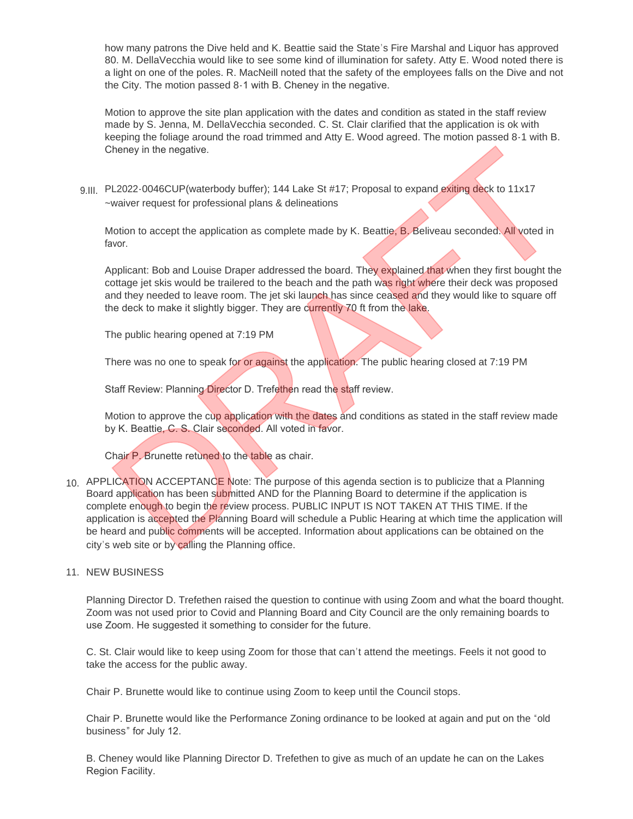how many patrons the Dive held and K. Beattie said the State's Fire Marshal and Liquor has approved 80. M. DellaVecchia would like to see some kind of illumination for safety. Atty E. Wood noted there is a light on one of the poles. R. MacNeill noted that the safety of the employees falls on the Dive and not the City. The motion passed 8-1 with B. Cheney in the negative.

Motion to approve the site plan application with the dates and condition as stated in the staff review made by S. Jenna, M. DellaVecchia seconded. C. St. Clair clarified that the application is ok with keeping the foliage around the road trimmed and Atty E. Wood agreed. The motion passed 8-1 with B. Cheney in the negative.

9.III. PL2022-0046CUP(waterbody buffer); 144 Lake St #17; Proposal to expand exiting deck to 11x17 ~waiver request for professional plans & delineations

Motion to accept the application as complete made by K. Beattie, B. Beliveau seconded. All voted in favor.

Applicant: Bob and Louise Draper addressed the board. They explained that when they first bought the cottage jet skis would be trailered to the beach and the path was right where their deck was proposed and they needed to leave room. The jet ski launch has since ceased and they would like to square off the deck to make it slightly bigger. They are currently 70 ft from the lake.

The public hearing opened at 7:19 PM

There was no one to speak for or against the application. The public hearing closed at 7:19 PM

Staff Review: Planning Director D. Trefethen read the staff review.

Motion to approve the cup application with the dates and conditions as stated in the staff review made by K. Beattie, C. S. Clair seconded. All voted in favor.

Chair P. Brunette retuned to the table as chair.

10. APPLICATION ACCEPTANCE Note: The purpose of this agenda section is to publicize that a Planning Board application has been submitted AND for the Planning Board to determine if the application is complete enough to begin the review process. PUBLIC INPUT IS NOT TAKEN AT THIS TIME. If the application is accepted the Planning Board will schedule a Public Hearing at which time the application will be heard and public comments will be accepted. Information about applications can be obtained on the city's web site or by calling the Planning office. Cheney in the negative.<br>
Nearly in the negative.<br>
Nearly in the measure of professional plans & delineations<br>
Nearly waver request for professional plans & delineations<br>
Motion to accept the application as complete made by

### 11. NEW BUSINESS

Planning Director D. Trefethen raised the question to continue with using Zoom and what the board thought. Zoom was not used prior to Covid and Planning Board and City Council are the only remaining boards to use Zoom. He suggested it something to consider for the future.

C. St. Clair would like to keep using Zoom for those that can't attend the meetings. Feels it not good to take the access for the public away.

Chair P. Brunette would like to continue using Zoom to keep until the Council stops.

Chair P. Brunette would like the Performance Zoning ordinance to be looked at again and put on the "old business" for July 12.

B. Cheney would like Planning Director D. Trefethen to give as much of an update he can on the Lakes Region Facility.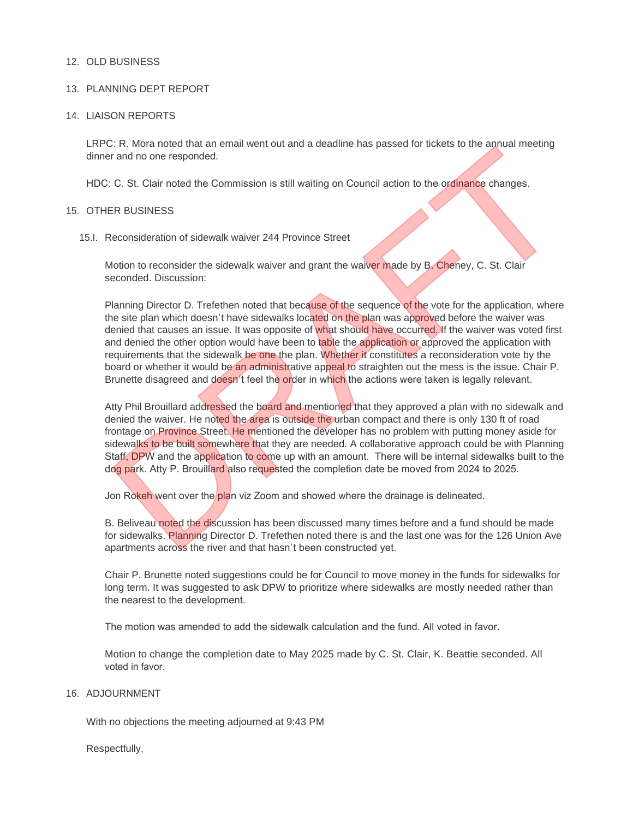### 12. OLD BUSINESS

### 13. PLANNING DEPT REPORT

#### 14. LIAISON REPORTS

LRPC: R. Mora noted that an email went out and a deadline has passed for tickets to the annual meeting dinner and no one responded.

HDC: C. St. Clair noted the Commission is still waiting on Council action to the ordinance changes.

#### 15. OTHER BUSINESS

15.I. Reconsideration of sidewalk waiver 244 Province Street

Motion to reconsider the sidewalk waiver and grant the waiver made by B. Cheney, C. St. Clair seconded. Discussion:

Planning Director D. Trefethen noted that because of the sequence of the vote for the application, where the site plan which doesn't have sidewalks located on the plan was approved before the waiver was denied that causes an issue. It was opposite of what should have occurred. If the waiver was voted first and denied the other option would have been to table the application or approved the application with requirements that the sidewalk be one the plan. Whether it constitutes a reconsideration vote by the board or whether it would be an administrative appeal to straighten out the mess is the issue. Chair P. Brunette disagreed and doesn't feel the order in which the actions were taken is legally relevant. C: R. Mora noted that an email went out and a deadline has passed for tickets to the annual meeting<br>
The and no one responded.<br>
C. St. Clair noted the Commission is still waiting on Council action to the **ordinance** change

Atty Phil Brouillard addressed the board and mentioned that they approved a plan with no sidewalk and denied the waiver. He noted the area is outside the urban compact and there is only 130 ft of road frontage on Province Street. He mentioned the developer has no problem with putting money aside for sidewalks to be built somewhere that they are needed. A collaborative approach could be with Planning Staff, DPW and the application to come up with an amount. There will be internal sidewalks built to the dog park. Atty P. Brouillard also requested the completion date be moved from 2024 to 2025.

Jon Rokeh went over the plan viz Zoom and showed where the drainage is delineated.

B. Beliveau noted the discussion has been discussed many times before and a fund should be made for sidewalks. Planning Director D. Trefethen noted there is and the last one was for the 126 Union Ave apartments across the river and that hasn't been constructed yet.

Chair P. Brunette noted suggestions could be for Council to move money in the funds for sidewalks for long term. It was suggested to ask DPW to prioritize where sidewalks are mostly needed rather than the nearest to the development.

The motion was amended to add the sidewalk calculation and the fund. All voted in favor.

Motion to change the completion date to May 2025 made by C. St. Clair, K. Beattie seconded. All voted in favor.

#### 16. ADJOURNMENT

With no objections the meeting adjourned at 9:43 PM

Respectfully,